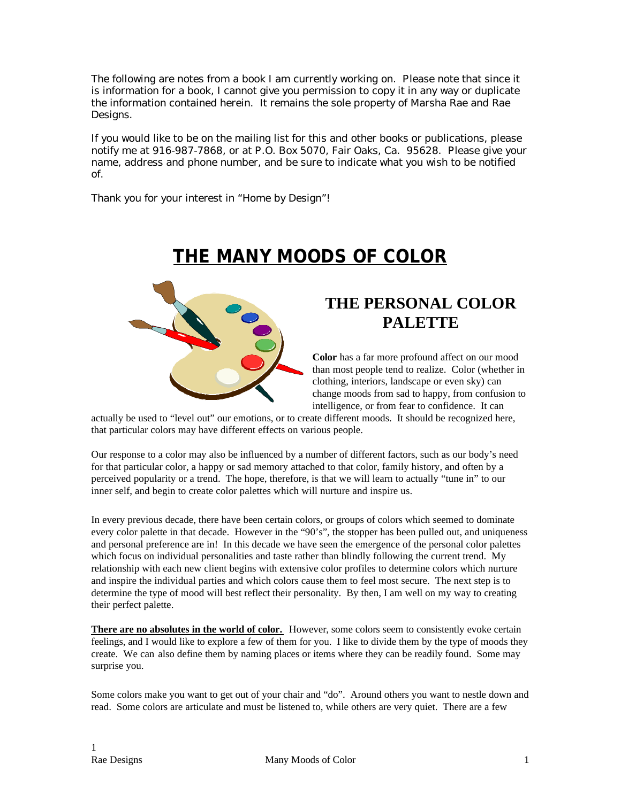The following are notes from a book I am currently working on. Please note that since it is information for a book, I cannot give you permission to copy it in any way or duplicate the information contained herein. It remains the sole property of Marsha Rae and Rae Desians.

If you would like to be on the mailing list for this and other books or publications, please notify me at 916-987-7868, or at P.O. Box 5070, Fair Oaks, Ca. 95628. Please give your name, address and phone number, and be sure to indicate what you wish to be notified of.

Thank you for your interest in "Home by Design"!

# **THE MANY MOODS OF COLOR**



## **THE PERSONAL COLOR PALETTE**

**Color** has a far more profound affect on our mood than most people tend to realize. Color (whether in clothing, interiors, landscape or even sky) can change moods from sad to happy, from confusion to intelligence, or from fear to confidence. It can

actually be used to "level out" our emotions, or to create different moods. It should be recognized here, that particular colors may have different effects on various people.

Our response to a color may also be influenced by a number of different factors, such as our body's need for that particular color, a happy or sad memory attached to that color, family history, and often by a perceived popularity or a trend. The hope, therefore, is that we will learn to actually "tune in" to our inner self, and begin to create color palettes which will nurture and inspire us.

In every previous decade, there have been certain colors, or groups of colors which seemed to dominate every color palette in that decade. However in the "90's", the stopper has been pulled out, and uniqueness and personal preference are in! In this decade we have seen the emergence of the personal color palettes which focus on individual personalities and taste rather than blindly following the current trend. My relationship with each new client begins with extensive color profiles to determine colors which nurture and inspire the individual parties and which colors cause them to feel most secure. The next step is to determine the type of mood will best reflect their personality. By then, I am well on my way to creating their perfect palette.

**There are no absolutes in the world of color.** However, some colors seem to consistently evoke certain feelings, and I would like to explore a few of them for you. I like to divide them by the type of moods they create. We can also define them by naming places or items where they can be readily found. Some may surprise you.

Some colors make you want to get out of your chair and "do". Around others you want to nestle down and read. Some colors are articulate and must be listened to, while others are very quiet. There are a few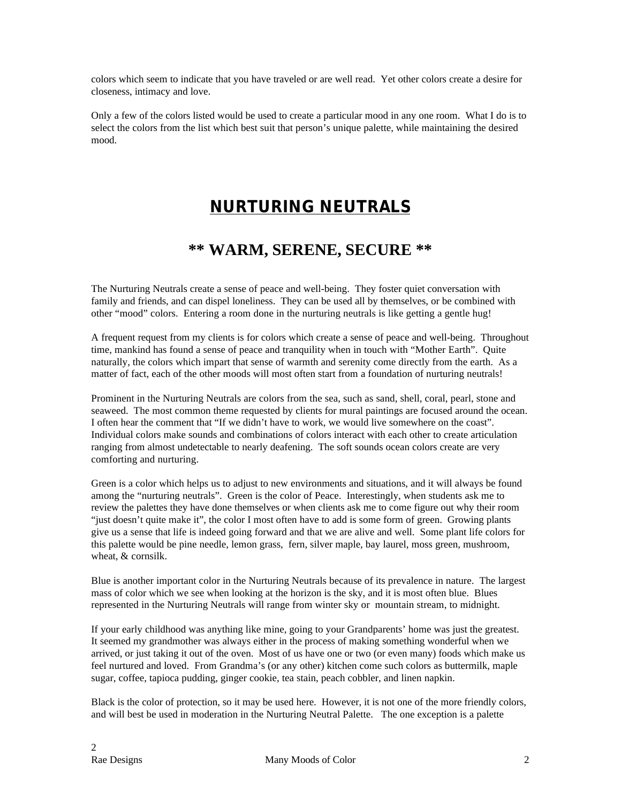colors which seem to indicate that you have traveled or are well read. Yet other colors create a desire for closeness, intimacy and love.

Only a few of the colors listed would be used to create a particular mood in any one room. What I do is to select the colors from the list which best suit that person's unique palette, while maintaining the desired mood.

## **NURTURING NEUTRALS**

#### **\*\* WARM, SERENE, SECURE \*\***

The Nurturing Neutrals create a sense of peace and well-being. They foster quiet conversation with family and friends, and can dispel loneliness. They can be used all by themselves, or be combined with other "mood" colors. Entering a room done in the nurturing neutrals is like getting a gentle hug!

A frequent request from my clients is for colors which create a sense of peace and well-being. Throughout time, mankind has found a sense of peace and tranquility when in touch with "Mother Earth". Quite naturally, the colors which impart that sense of warmth and serenity come directly from the earth. As a matter of fact, each of the other moods will most often start from a foundation of nurturing neutrals!

Prominent in the Nurturing Neutrals are colors from the sea, such as sand, shell, coral, pearl, stone and seaweed. The most common theme requested by clients for mural paintings are focused around the ocean. I often hear the comment that "If we didn't have to work, we would live somewhere on the coast". Individual colors make sounds and combinations of colors interact with each other to create articulation ranging from almost undetectable to nearly deafening. The soft sounds ocean colors create are very comforting and nurturing.

Green is a color which helps us to adjust to new environments and situations, and it will always be found among the "nurturing neutrals". Green is the color of Peace. Interestingly, when students ask me to review the palettes they have done themselves or when clients ask me to come figure out why their room "just doesn't quite make it", the color I most often have to add is some form of green. Growing plants give us a sense that life is indeed going forward and that we are alive and well. Some plant life colors for this palette would be pine needle, lemon grass, fern, silver maple, bay laurel, moss green, mushroom, wheat, & cornsilk.

Blue is another important color in the Nurturing Neutrals because of its prevalence in nature. The largest mass of color which we see when looking at the horizon is the sky, and it is most often blue. Blues represented in the Nurturing Neutrals will range from winter sky or mountain stream, to midnight.

If your early childhood was anything like mine, going to your Grandparents' home was just the greatest. It seemed my grandmother was always either in the process of making something wonderful when we arrived, or just taking it out of the oven. Most of us have one or two (or even many) foods which make us feel nurtured and loved. From Grandma's (or any other) kitchen come such colors as buttermilk, maple sugar, coffee, tapioca pudding, ginger cookie, tea stain, peach cobbler, and linen napkin.

Black is the color of protection, so it may be used here. However, it is not one of the more friendly colors, and will best be used in moderation in the Nurturing Neutral Palette. The one exception is a palette